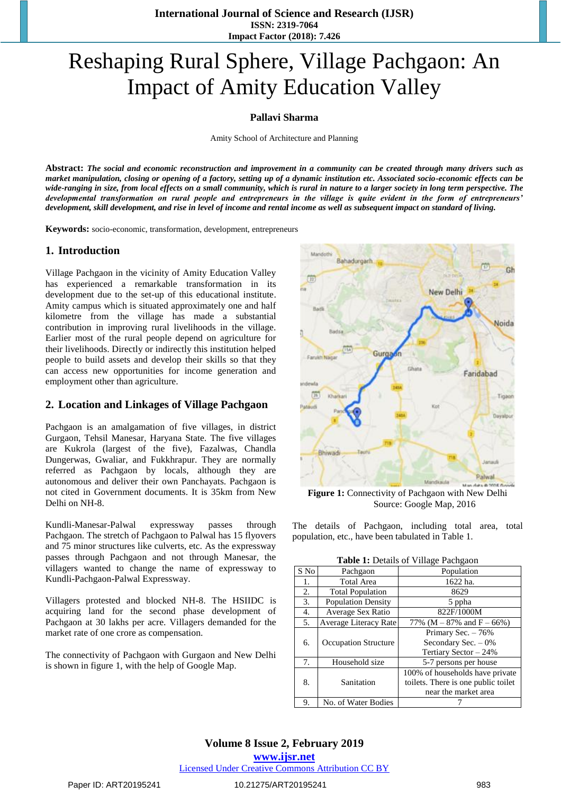**International Journal of Science and Research (IJSR) ISSN: 2319-7064 Impact Factor (2018): 7.426**

# Reshaping Rural Sphere, Village Pachgaon: An Impact of Amity Education Valley

**Pallavi Sharma**

Amity School of Architecture and Planning

**Abstract:** *The social and economic reconstruction and improvement in a community can be created through many drivers such as market manipulation, closing or opening of a factory, setting up of a dynamic institution etc. Associated socio-economic effects can be wide-ranging in size, from local effects on a small community, which is rural in nature to a larger society in long term perspective. The developmental transformation on rural people and entrepreneurs in the village is quite evident in the form of entrepreneurs' development, skill development, and rise in level of income and rental income as well as subsequent impact on standard of living.* 

**Keywords:** socio-economic, transformation, development, entrepreneurs

#### **1. Introduction**

Village Pachgaon in the vicinity of Amity Education Valley has experienced a remarkable transformation in its development due to the set-up of this educational institute. Amity campus which is situated approximately one and half kilometre from the village has made a substantial contribution in improving rural livelihoods in the village. Earlier most of the rural people depend on agriculture for their livelihoods. Directly or indirectly this institution helped people to build assets and develop their skills so that they can access new opportunities for income generation and employment other than agriculture.

#### **2. Location and Linkages of Village Pachgaon**

Pachgaon is an amalgamation of five villages, in district Gurgaon, Tehsil Manesar, Haryana State. The five villages are Kukrola (largest of the five), Fazalwas, Chandla Dungerwas, Gwaliar, and Fukkhrapur. They are normally referred as Pachgaon by locals, although they are autonomous and deliver their own Panchayats. Pachgaon is not cited in Government documents. It is 35km from New Delhi on NH-8.

Kundli-Manesar-Palwal expressway passes through Pachgaon. The stretch of Pachgaon to Palwal has 15 flyovers and 75 minor structures like culverts, etc. As the expressway passes through Pachgaon and not through Manesar, the villagers wanted to change the name of expressway to Kundli-Pachgaon-Palwal Expressway.

Villagers protested and blocked NH-8. The HSIIDC is acquiring land for the second phase development of Pachgaon at 30 lakhs per acre. Villagers demanded for the market rate of one crore as compensation.

The connectivity of Pachgaon with Gurgaon and New Delhi is shown in figure 1, with the help of Google Map.



**Figure 1:** Connectivity of Pachgaon with New Delhi Source: Google Map, 2016

The details of Pachgaon, including total area, total population, etc., have been tabulated in Table 1.

|  |  | Table 1: Details of Village Pachgaon |
|--|--|--------------------------------------|
|  |  |                                      |

| S No | Pachgaon                      | Population                          |  |  |
|------|-------------------------------|-------------------------------------|--|--|
| 1.   | <b>Total Area</b><br>1622 ha. |                                     |  |  |
| 2.   | <b>Total Population</b>       | 8629                                |  |  |
| 3.   | <b>Population Density</b>     | 5 ppha                              |  |  |
| 4.   | Average Sex Ratio             | 822F/1000M                          |  |  |
| 5.   | Average Literacy Rate         | 77% (M $-87\%$ and F $-66\%$ )      |  |  |
|      |                               | Primary Sec. - 76%                  |  |  |
| 6.   | <b>Occupation Structure</b>   | Secondary Sec. $-0\%$               |  |  |
|      |                               | Tertiary Sector - 24%               |  |  |
| 7.   | Household size                | 5-7 persons per house               |  |  |
|      |                               | 100% of households have private     |  |  |
| 8.   | Sanitation                    | toilets. There is one public toilet |  |  |
|      |                               | near the market area                |  |  |
| 9.   | No. of Water Bodies           |                                     |  |  |

**Volume 8 Issue 2, February 2019 www.ijsr.net** Licensed Under Creative Commons Attribution CC BY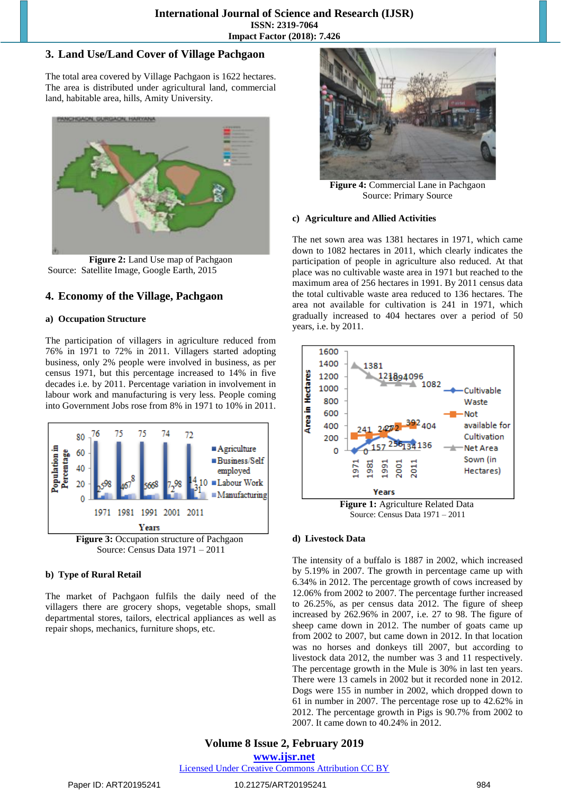### **3. Land Use/Land Cover of Village Pachgaon**

The total area covered by Village Pachgaon is 1622 hectares. The area is distributed under agricultural land, commercial land, habitable area, hills, Amity University.



**Figure 2:** Land Use map of Pachgaon Source: Satellite Image, Google Earth, 2015

### **4. Economy of the Village, Pachgaon**

#### **a) Occupation Structure**

The participation of villagers in agriculture reduced from 76% in 1971 to 72% in 2011. Villagers started adopting business, only 2% people were involved in business, as per census 1971, but this percentage increased to 14% in five decades i.e. by 2011. Percentage variation in involvement in labour work and manufacturing is very less. People coming into Government Jobs rose from 8% in 1971 to 10% in 2011.



Source: Census Data 1971 – 2011

#### **b) Type of Rural Retail**

The market of Pachgaon fulfils the daily need of the villagers there are grocery shops, vegetable shops, small departmental stores, tailors, electrical appliances as well as repair shops, mechanics, furniture shops, etc.



**Figure 4:** Commercial Lane in Pachgaon Source: Primary Source

#### **c) Agriculture and Allied Activities**

The net sown area was 1381 hectares in 1971, which came down to 1082 hectares in 2011, which clearly indicates the participation of people in agriculture also reduced. At that place was no cultivable waste area in 1971 but reached to the maximum area of 256 hectares in 1991. By 2011 census data the total cultivable waste area reduced to 136 hectares. The area not available for cultivation is 241 in 1971, which gradually increased to 404 hectares over a period of 50 years, i.e. by 2011.



Source: Census Data 1971 – 2011

#### **d) Livestock Data**

The intensity of a buffalo is 1887 in 2002, which increased by 5.19% in 2007. The growth in percentage came up with 6.34% in 2012. The percentage growth of cows increased by 12.06% from 2002 to 2007. The percentage further increased to 26.25%, as per census data 2012. The figure of sheep increased by 262.96% in 2007, i.e. 27 to 98. The figure of sheep came down in 2012. The number of goats came up from 2002 to 2007, but came down in 2012. In that location was no horses and donkeys till 2007, but according to livestock data 2012, the number was 3 and 11 respectively. The percentage growth in the Mule is 30% in last ten years. There were 13 camels in 2002 but it recorded none in 2012. Dogs were 155 in number in 2002, which dropped down to 61 in number in 2007. The percentage rose up to 42.62% in 2012. The percentage growth in Pigs is 90.7% from 2002 to 2007. It came down to 40.24% in 2012.

## **Volume 8 Issue 2, February 2019**

**www.ijsr.net** Licensed Under Creative Commons Attribution CC BY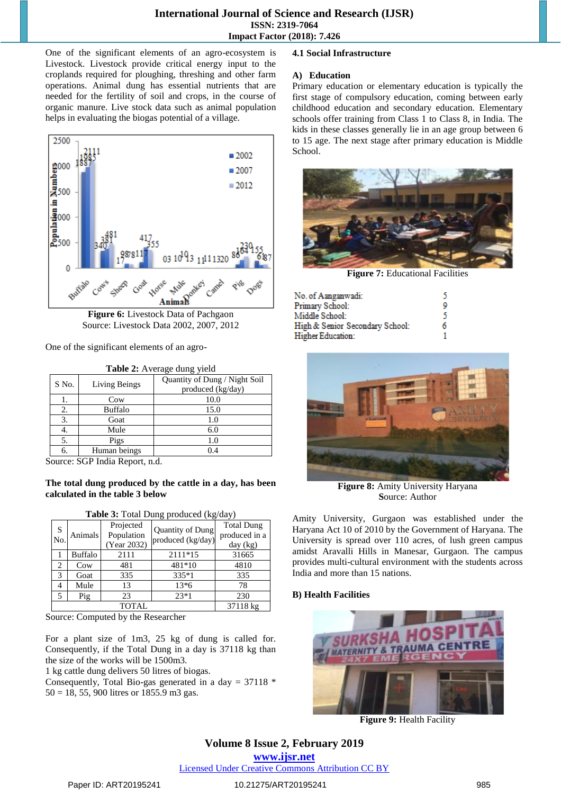#### **International Journal of Science and Research (IJSR) ISSN: 2319-7064 Impact Factor (2018): 7.426**

One of the significant elements of an agro-ecosystem is Livestock. Livestock provide critical energy input to the croplands required for ploughing, threshing and other farm operations. Animal dung has essential nutrients that are needed for the fertility of soil and crops, in the course of organic manure. Live stock data such as animal population helps in evaluating the biogas potential of a village.



**Figure 6:** Livestock Data of Pachgaon Source: Livestock Data 2002, 2007, 2012

One of the significant elements of an agro-

| <b>Table 2:</b> Average dung yield |                |                                                    |  |  |
|------------------------------------|----------------|----------------------------------------------------|--|--|
| S No.                              | Living Beings  | Quantity of Dung / Night Soil<br>produced (kg/day) |  |  |
|                                    | Cow            | 10.0                                               |  |  |
| 2.                                 | <b>Buffalo</b> | 15.0                                               |  |  |
| 3.                                 | Goat           | 1.0                                                |  |  |
|                                    | Mule           | 6.0                                                |  |  |
| 5.                                 | Pigs           | 1.0                                                |  |  |
|                                    | Human beings   | 0.4                                                |  |  |

Source: SGP India Report, n.d.

#### **The total dung produced by the cattle in a day, has been calculated in the table 3 below**

| <b>Tuble of Total Dung</b> produced $(\mathbf{R}^{\mathbf{S}}_{\mathbf{S}})\mathbf{d}\mathbf{u}^{\mathbf{S}}$ |                |                                        |                                       |                                                |
|---------------------------------------------------------------------------------------------------------------|----------------|----------------------------------------|---------------------------------------|------------------------------------------------|
| S<br>No.                                                                                                      | <b>Animals</b> | Projected<br>Population<br>(Year 2032) | Quantity of Dung<br>produced (kg/day) | <b>Total Dung</b><br>produced in a<br>day (kg) |
|                                                                                                               | Buffalo        | 2111                                   | 2111*15                               | 31665                                          |
| 2                                                                                                             | Cow            | 481                                    | 481*10                                | 4810                                           |
| 3                                                                                                             | Goat           | 335                                    | 335*1                                 | 335                                            |
| 4                                                                                                             | Mule           | 13                                     | $13*6$                                | 78                                             |
| 5                                                                                                             | Pig            | 23                                     | $23*1$                                | 230                                            |
|                                                                                                               |                | <b>TOTAL</b>                           |                                       | 37118 kg                                       |

**Table 3:** Total Dung produced (kg/day)

Source: Computed by the Researcher

For a plant size of 1m3, 25 kg of dung is called for. Consequently, if the Total Dung in a day is 37118 kg than the size of the works will be 1500m3.

1 kg cattle dung delivers 50 litres of biogas.

Consequently, Total Bio-gas generated in a day =  $37118$  \* 50 = 18, 55, 900 litres or 1855.9 m3 gas.

#### **4.1 Social Infrastructure**

#### **A) Education**

Primary education or elementary education is typically the first stage of compulsory education, coming between early childhood education and secondary education. Elementary schools offer training from Class 1 to Class 8, in India. The kids in these classes generally lie in an age group between 6 to 15 age. The next stage after primary education is Middle School.



**Figure 7:** Educational Facilities

| No. of Aanganwadi:              |   |
|---------------------------------|---|
| Primary School:                 |   |
| Middle School:                  |   |
| High & Senior Secondary School: | 6 |
| Higher Education:               |   |



**Figure 8:** Amity University Haryana **S**ource: Author

Amity University, Gurgaon was established under the Haryana Act 10 of 2010 by the Government of Haryana. The University is spread over 110 acres, of lush green campus amidst Aravalli Hills in Manesar, Gurgaon. The campus provides multi-cultural environment with the students across India and more than 15 nations.

#### **B) Health Facilities**



**Figure 9:** Health Facility

# **Volume 8 Issue 2, February 2019**

**www.ijsr.net** Licensed Under Creative Commons Attribution CC BY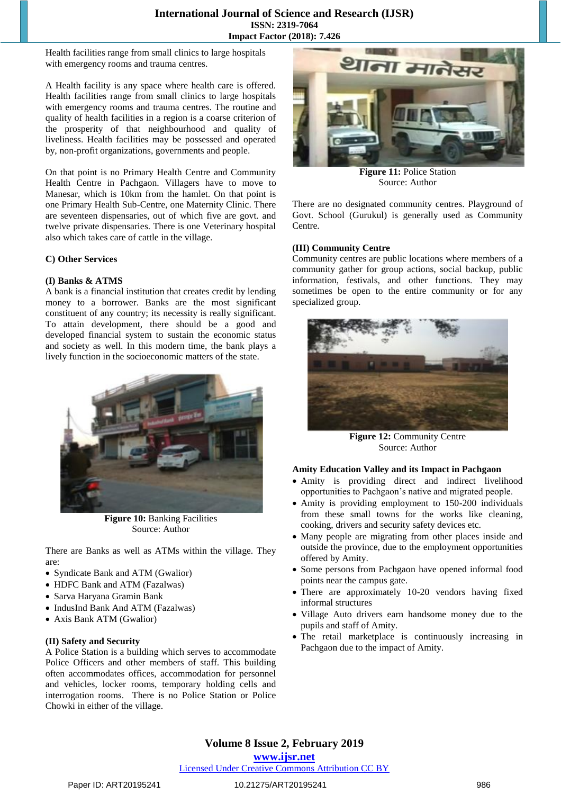#### **International Journal of Science and Research (IJSR) ISSN: 2319-7064 Impact Factor (2018): 7.426**

Health facilities range from small clinics to large hospitals with emergency rooms and trauma centres.

A Health facility is any space where health care is offered. Health facilities range from small clinics to large hospitals with emergency rooms and trauma centres. The routine and quality of health facilities in a region is a coarse criterion of the prosperity of that neighbourhood and quality of liveliness. Health facilities may be possessed and operated by, non-profit organizations, governments and people.

On that point is no Primary Health Centre and Community Health Centre in Pachgaon. Villagers have to move to Manesar, which is 10km from the hamlet. On that point is one Primary Health Sub-Centre, one Maternity Clinic. There are seventeen dispensaries, out of which five are govt. and twelve private dispensaries. There is one Veterinary hospital also which takes care of cattle in the village.

#### **C) Other Services**

#### **(I) Banks & ATMS**

A bank is a financial institution that creates credit by lending money to a borrower. Banks are the most significant constituent of any country; its necessity is really significant. To attain development, there should be a good and developed financial system to sustain the economic status and society as well. In this modern time, the bank plays a lively function in the socioeconomic matters of the state.



**Figure 10:** Banking Facilities Source: Author

There are Banks as well as ATMs within the village. They are:

- Syndicate Bank and ATM (Gwalior)
- HDFC Bank and ATM (Fazalwas)
- Sarva Haryana Gramin Bank
- IndusInd Bank And ATM (Fazalwas)
- Axis Bank ATM (Gwalior)

#### **(II) Safety and Security**

A Police Station is a building which serves to accommodate Police Officers and other members of staff. This building often accommodates offices, accommodation for personnel and vehicles, locker rooms, temporary holding cells and interrogation rooms. There is no Police Station or Police Chowki in either of the village.



**Figure 11:** Police Station Source: Author

There are no designated community centres. Playground of Govt. School (Gurukul) is generally used as Community Centre.

#### **(III) Community Centre**

Community centres are public locations where members of a community gather for group actions, social backup, public information, festivals, and other functions. They may sometimes be open to the entire community or for any specialized group.



**Figure 12:** Community Centre Source: Author

#### **Amity Education Valley and its Impact in Pachgaon**

- Amity is providing direct and indirect livelihood opportunities to Pachgaon's native and migrated people.
- Amity is providing employment to 150-200 individuals from these small towns for the works like cleaning, cooking, drivers and security safety devices etc.
- Many people are migrating from other places inside and outside the province, due to the employment opportunities offered by Amity.
- Some persons from Pachgaon have opened informal food points near the campus gate.
- There are approximately 10-20 vendors having fixed informal structures
- Village Auto drivers earn handsome money due to the pupils and staff of Amity.
- The retail marketplace is continuously increasing in Pachgaon due to the impact of Amity.

### **Volume 8 Issue 2, February 2019**

#### **www.ijsr.net**

#### Licensed Under Creative Commons Attribution CC BY